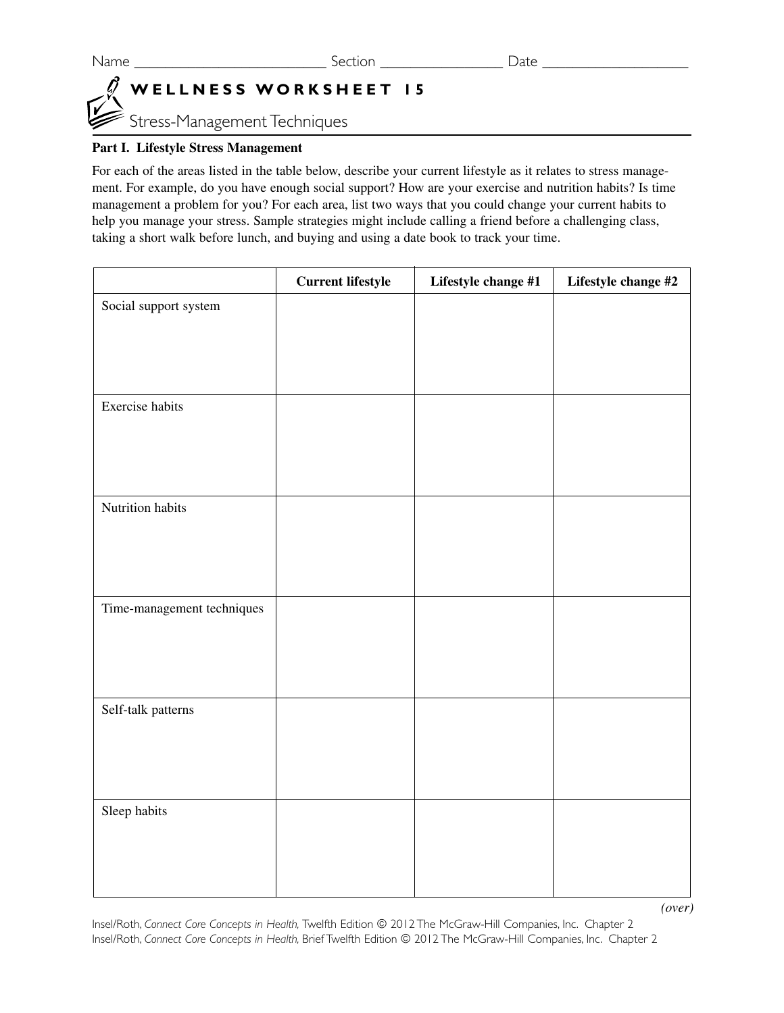## **WELLNESS WORKSHEET 15**

Stress-Management Techniques

## **Part I. Lifestyle Stress Management**

For each of the areas listed in the table below, describe your current lifestyle as it relates to stress management. For example, do you have enough social support? How are your exercise and nutrition habits? Is time management a problem for you? For each area, list two ways that you could change your current habits to help you manage your stress. Sample strategies might include calling a friend before a challenging class, taking a short walk before lunch, and buying and using a date book to track your time.

|                            | <b>Current lifestyle</b> | Lifestyle change #1 | Lifestyle change #2 |
|----------------------------|--------------------------|---------------------|---------------------|
| Social support system      |                          |                     |                     |
|                            |                          |                     |                     |
|                            |                          |                     |                     |
|                            |                          |                     |                     |
| Exercise habits            |                          |                     |                     |
|                            |                          |                     |                     |
|                            |                          |                     |                     |
|                            |                          |                     |                     |
| Nutrition habits           |                          |                     |                     |
|                            |                          |                     |                     |
|                            |                          |                     |                     |
| Time-management techniques |                          |                     |                     |
|                            |                          |                     |                     |
|                            |                          |                     |                     |
|                            |                          |                     |                     |
| Self-talk patterns         |                          |                     |                     |
|                            |                          |                     |                     |
|                            |                          |                     |                     |
|                            |                          |                     |                     |
| Sleep habits               |                          |                     |                     |
|                            |                          |                     |                     |
|                            |                          |                     |                     |
|                            |                          |                     |                     |
|                            |                          |                     | (over)              |

Insel/Roth, *Connect Core Concepts in Health,* Twelfth Edition © 2012 The McGraw-Hill Companies, Inc. Chapter 2 Insel/Roth, *Connect Core Concepts in Health,* Brief Twelfth Edition © 2012 The McGraw-Hill Companies, Inc. Chapter 2